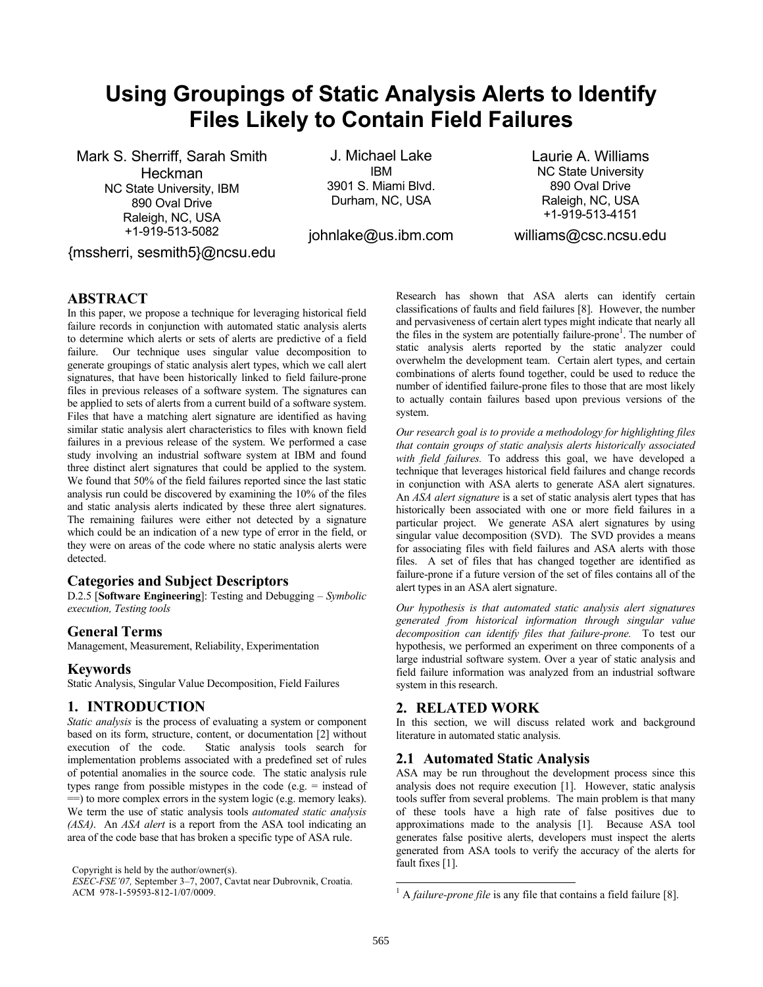# **Using Groupings of Static Analysis Alerts to Identify Files Likely to Contain Field Failures**

Mark S. Sherriff, Sarah Smith Heckman NC State University, IBM 890 Oval Drive Raleigh, NC, USA +1-919-513-5082

{mssherri, sesmith5}@ncsu.edu

J. Michael Lake IBM 3901 S. Miami Blvd. Durham, NC, USA

Laurie A. Williams NC State University 890 Oval Drive Raleigh, NC, USA +1-919-513-4151

johnlake@us.ibm.com

williams@csc.ncsu.edu

#### **ABSTRACT**

In this paper, we propose a technique for leveraging historical field failure records in conjunction with automated static analysis alerts to determine which alerts or sets of alerts are predictive of a field failure. Our technique uses singular value decomposition to generate groupings of static analysis alert types, which we call alert signatures, that have been historically linked to field failure-prone files in previous releases of a software system. The signatures can be applied to sets of alerts from a current build of a software system. Files that have a matching alert signature are identified as having similar static analysis alert characteristics to files with known field failures in a previous release of the system. We performed a case study involving an industrial software system at IBM and found three distinct alert signatures that could be applied to the system. We found that 50% of the field failures reported since the last static analysis run could be discovered by examining the 10% of the files and static analysis alerts indicated by these three alert signatures. The remaining failures were either not detected by a signature which could be an indication of a new type of error in the field, or they were on areas of the code where no static analysis alerts were detected.

#### **Categories and Subject Descriptors**

D.2.5 [**Software Engineering**]: Testing and Debugging – *Symbolic execution, Testing tools* 

#### **General Terms**

Management, Measurement, Reliability, Experimentation

#### **Keywords**

Static Analysis, Singular Value Decomposition, Field Failures

#### **1. INTRODUCTION**

*Static analysis* is the process of evaluating a system or component based on its form, structure, content, or documentation [2] without execution of the code. Static analysis tools search for implementation problems associated with a predefined set of rules of potential anomalies in the source code. The static analysis rule types range from possible mistypes in the code (e.g. = instead of ==) to more complex errors in the system logic (e.g. memory leaks). We term the use of static analysis tools *automated static analysis (ASA)*. An *ASA alert* is a report from the ASA tool indicating an area of the code base that has broken a specific type of ASA rule.

Research has shown that ASA alerts can identify certain classifications of faults and field failures [8]. However, the number and pervasiveness of certain alert types might indicate that nearly all the files in the system are potentially failure-prone<sup>1</sup>. The number of static analysis alerts reported by the static analyzer could overwhelm the development team. Certain alert types, and certain combinations of alerts found together, could be used to reduce the number of identified failure-prone files to those that are most likely to actually contain failures based upon previous versions of the system.

*Our research goal is to provide a methodology for highlighting files that contain groups of static analysis alerts historically associated with field failures.* To address this goal, we have developed a technique that leverages historical field failures and change records in conjunction with ASA alerts to generate ASA alert signatures. An *ASA alert signature* is a set of static analysis alert types that has historically been associated with one or more field failures in a particular project. We generate ASA alert signatures by using singular value decomposition (SVD). The SVD provides a means for associating files with field failures and ASA alerts with those files. A set of files that has changed together are identified as failure-prone if a future version of the set of files contains all of the alert types in an ASA alert signature.

*Our hypothesis is that automated static analysis alert signatures generated from historical information through singular value decomposition can identify files that failure-prone.* To test our hypothesis, we performed an experiment on three components of a large industrial software system. Over a year of static analysis and field failure information was analyzed from an industrial software system in this research.

### **2. RELATED WORK**

In this section, we will discuss related work and background literature in automated static analysis.

#### **2.1 Automated Static Analysis**

ASA may be run throughout the development process since this analysis does not require execution [1]. However, static analysis tools suffer from several problems. The main problem is that many of these tools have a high rate of false positives due to approximations made to the analysis [1]. Because ASA tool generates false positive alerts, developers must inspect the alerts generated from ASA tools to verify the accuracy of the alerts for fault fixes [1].

Copyright is held by the author/owner(s).

*ESEC-FSE'07,* September 3–7, 2007, Cavtat near Dubrovnik, Croatia. ACM 978-1-59593-812-1/07/0009.

 1 A *failure-prone file* is any file that contains a field failure [8].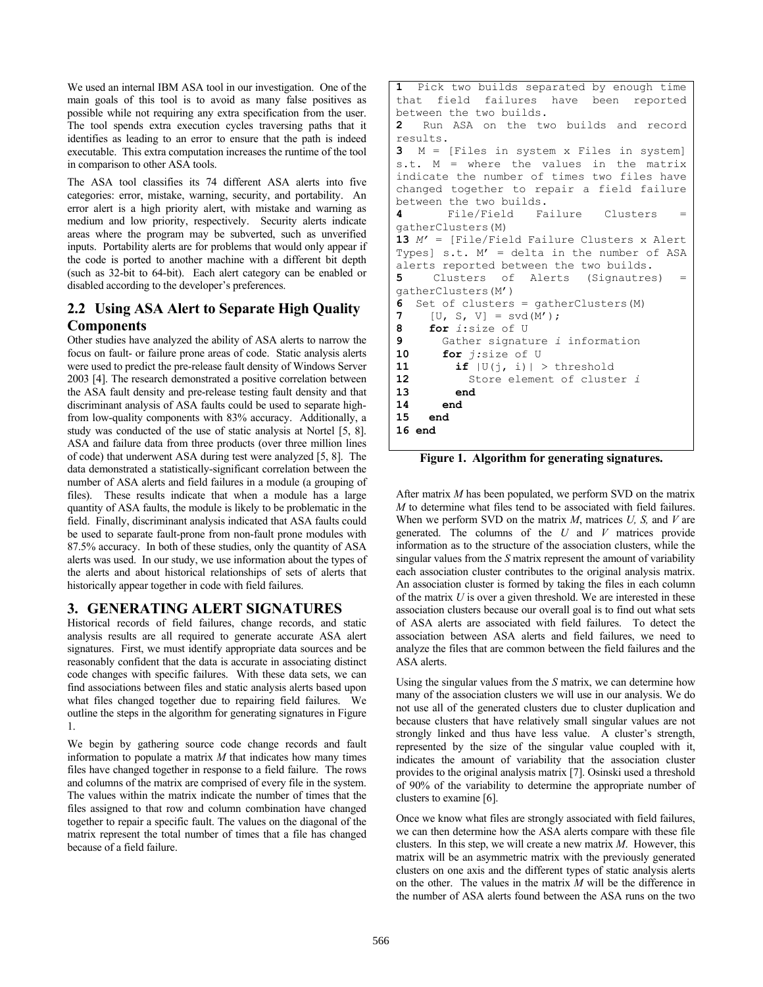We used an internal IBM ASA tool in our investigation. One of the main goals of this tool is to avoid as many false positives as possible while not requiring any extra specification from the user. The tool spends extra execution cycles traversing paths that it identifies as leading to an error to ensure that the path is indeed executable. This extra computation increases the runtime of the tool in comparison to other ASA tools.

The ASA tool classifies its 74 different ASA alerts into five categories: error, mistake, warning, security, and portability. An error alert is a high priority alert, with mistake and warning as medium and low priority, respectively. Security alerts indicate areas where the program may be subverted, such as unverified inputs. Portability alerts are for problems that would only appear if the code is ported to another machine with a different bit depth (such as 32-bit to 64-bit). Each alert category can be enabled or disabled according to the developer's preferences.

# **2.2 Using ASA Alert to Separate High Quality Components**

Other studies have analyzed the ability of ASA alerts to narrow the focus on fault- or failure prone areas of code. Static analysis alerts were used to predict the pre-release fault density of Windows Server 2003 [4]. The research demonstrated a positive correlation between the ASA fault density and pre-release testing fault density and that discriminant analysis of ASA faults could be used to separate highfrom low-quality components with 83% accuracy. Additionally, a study was conducted of the use of static analysis at Nortel [5, 8]. ASA and failure data from three products (over three million lines of code) that underwent ASA during test were analyzed [5, 8]. The data demonstrated a statistically-significant correlation between the number of ASA alerts and field failures in a module (a grouping of files). These results indicate that when a module has a large quantity of ASA faults, the module is likely to be problematic in the field. Finally, discriminant analysis indicated that ASA faults could be used to separate fault-prone from non-fault prone modules with 87.5% accuracy. In both of these studies, only the quantity of ASA alerts was used. In our study, we use information about the types of the alerts and about historical relationships of sets of alerts that historically appear together in code with field failures.

# **3. GENERATING ALERT SIGNATURES**

Historical records of field failures, change records, and static analysis results are all required to generate accurate ASA alert signatures. First, we must identify appropriate data sources and be reasonably confident that the data is accurate in associating distinct code changes with specific failures. With these data sets, we can find associations between files and static analysis alerts based upon what files changed together due to repairing field failures. We outline the steps in the algorithm for generating signatures in Figure 1.

We begin by gathering source code change records and fault information to populate a matrix *M* that indicates how many times files have changed together in response to a field failure. The rows and columns of the matrix are comprised of every file in the system. The values within the matrix indicate the number of times that the files assigned to that row and column combination have changed together to repair a specific fault. The values on the diagonal of the matrix represent the total number of times that a file has changed because of a field failure.

```
1 Pick two builds separated by enough time 
that field failures have been reported 
between the two builds. 
2 Run ASA on the two builds and record 
results. 
3 M = [Files in system x Files in system] 
s.t. M = where the values in the matrix 
indicate the number of times two files have 
changed together to repair a field failure 
between the two builds. 
4 File/Field Failure Clusters = 
gatherClusters(M) 
13 M' = [File/Field Failure Clusters x Alert 
Types] s.t. M' = delta in the number of ASAalerts reported between the two builds. 
5 Clusters of Alerts (Signautres) = 
gatherClusters(M') 
6 Set of clusters = gatherClusters(M) 
7 [U, S, V] = svd(M');8 for i:size of U 
9 Gather signature i information 
10 for j:size of U 
11 if |U(j, i)| > threshold
12 Store element of cluster i
13 end 
14 end 
15 end 
16 end
```
**Figure 1. Algorithm for generating signatures.**

After matrix *M* has been populated, we perform SVD on the matrix *M* to determine what files tend to be associated with field failures. When we perform SVD on the matrix *M*, matrices *U, S,* and *V* are generated. The columns of the *U* and *V* matrices provide information as to the structure of the association clusters, while the singular values from the *S* matrix represent the amount of variability each association cluster contributes to the original analysis matrix. An association cluster is formed by taking the files in each column of the matrix *U* is over a given threshold. We are interested in these association clusters because our overall goal is to find out what sets of ASA alerts are associated with field failures. To detect the association between ASA alerts and field failures, we need to analyze the files that are common between the field failures and the ASA alerts.

Using the singular values from the *S* matrix, we can determine how many of the association clusters we will use in our analysis. We do not use all of the generated clusters due to cluster duplication and because clusters that have relatively small singular values are not strongly linked and thus have less value. A cluster's strength, represented by the size of the singular value coupled with it, indicates the amount of variability that the association cluster provides to the original analysis matrix [7]. Osinski used a threshold of 90% of the variability to determine the appropriate number of clusters to examine [6].

Once we know what files are strongly associated with field failures, we can then determine how the ASA alerts compare with these file clusters. In this step, we will create a new matrix *M*. However, this matrix will be an asymmetric matrix with the previously generated clusters on one axis and the different types of static analysis alerts on the other. The values in the matrix *M* will be the difference in the number of ASA alerts found between the ASA runs on the two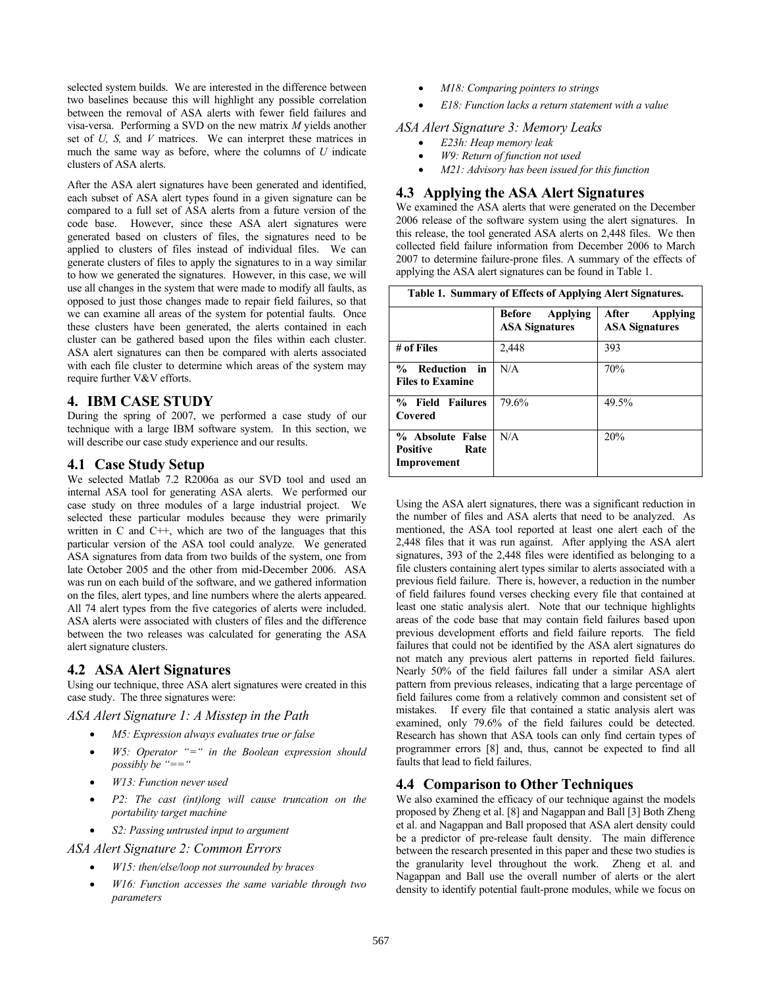selected system builds. We are interested in the difference between two baselines because this will highlight any possible correlation between the removal of ASA alerts with fewer field failures and visa-versa. Performing a SVD on the new matrix *M* yields another set of *U*, *S*, and *V* matrices. We can interpret these matrices in much the same way as before, where the columns of *U* indicate clusters of ASA alerts.

After the ASA alert signatures have been generated and identified, each subset of ASA alert types found in a given signature can be compared to a full set of ASA alerts from a future version of the code base. However, since these ASA alert signatures were generated based on clusters of files, the signatures need to be applied to clusters of files instead of individual files. We can generate clusters of files to apply the signatures to in a way similar to how we generated the signatures. However, in this case, we will use all changes in the system that were made to modify all faults, as opposed to just those changes made to repair field failures, so that we can examine all areas of the system for potential faults. Once these clusters have been generated, the alerts contained in each cluster can be gathered based upon the files within each cluster. ASA alert signatures can then be compared with alerts associated with each file cluster to determine which areas of the system may require further V&V efforts.

# **4. IBM CASE STUDY**

During the spring of 2007, we performed a case study of our technique with a large IBM software system. In this section, we will describe our case study experience and our results.

#### **4.1 Case Study Setup**

We selected Matlab 7.2 R2006a as our SVD tool and used an internal ASA tool for generating ASA alerts. We performed our case study on three modules of a large industrial project. We selected these particular modules because they were primarily written in C and C<sup>++</sup>, which are two of the languages that this particular version of the ASA tool could analyze. We generated ASA signatures from data from two builds of the system, one from late October 2005 and the other from mid-December 2006. ASA was run on each build of the software, and we gathered information on the files, alert types, and line numbers where the alerts appeared. All 74 alert types from the five categories of alerts were included. ASA alerts were associated with clusters of files and the difference between the two releases was calculated for generating the ASA alert signature clusters.

# **4.2 ASA Alert Signatures**

Using our technique, three ASA alert signatures were created in this case study. The three signatures were:

*ASA Alert Signature 1: A Misstep in the Path* 

- *M5: Expression always evaluates true or false*
- *W5: Operator "=" in the Boolean expression should possibly be "=="*
- *W13: Function never used*
- *P2: The cast (int)long will cause truncation on the portability target machine*
- *S2: Passing untrusted input to argument*

#### *ASA Alert Signature 2: Common Errors*

- *W15: then/else/loop not surrounded by braces*
- *W16: Function accesses the same variable through two parameters*
- *M18: Comparing pointers to strings*
- *E18: Function lacks a return statement with a value*

#### *ASA Alert Signature 3: Memory Leaks*

- *E23h: Heap memory leak*
- *W9: Return of function not used*
- *M21: Advisory has been issued for this function*

# **4.3 Applying the ASA Alert Signatures**

We examined the ASA alerts that were generated on the December 2006 release of the software system using the alert signatures. In this release, the tool generated ASA alerts on 2,448 files. We then collected field failure information from December 2006 to March 2007 to determine failure-prone files. A summary of the effects of applying the ASA alert signatures can be found in Table 1.

| Table 1. Summary of Effects of Applying Alert Signatures.          |                                             |                                            |  |  |  |  |
|--------------------------------------------------------------------|---------------------------------------------|--------------------------------------------|--|--|--|--|
|                                                                    | Before<br>Applying<br><b>ASA Signatures</b> | After<br>Applying<br><b>ASA Signatures</b> |  |  |  |  |
| # of Files                                                         | 2,448                                       | 393                                        |  |  |  |  |
| <b>Reduction</b><br>in<br>$\frac{0}{0}$<br><b>Files to Examine</b> | N/A                                         | 70%                                        |  |  |  |  |
| <b>Field Failures</b><br>$\frac{0}{\alpha}$<br>Covered             | 79.6%                                       | 49.5%                                      |  |  |  |  |
| % Absolute False<br><b>Positive</b><br>Rate<br>Improvement         | N/A                                         | 20%                                        |  |  |  |  |

Using the ASA alert signatures, there was a significant reduction in the number of files and ASA alerts that need to be analyzed. As mentioned, the ASA tool reported at least one alert each of the 2,448 files that it was run against. After applying the ASA alert signatures, 393 of the 2,448 files were identified as belonging to a file clusters containing alert types similar to alerts associated with a previous field failure. There is, however, a reduction in the number of field failures found verses checking every file that contained at least one static analysis alert. Note that our technique highlights areas of the code base that may contain field failures based upon previous development efforts and field failure reports. The field failures that could not be identified by the ASA alert signatures do not match any previous alert patterns in reported field failures. Nearly 50% of the field failures fall under a similar ASA alert pattern from previous releases, indicating that a large percentage of field failures come from a relatively common and consistent set of mistakes. If every file that contained a static analysis alert was examined, only 79.6% of the field failures could be detected. Research has shown that ASA tools can only find certain types of programmer errors [8] and, thus, cannot be expected to find all faults that lead to field failures.

# **4.4 Comparison to Other Techniques**

We also examined the efficacy of our technique against the models proposed by Zheng et al. [8] and Nagappan and Ball [3] Both Zheng et al. and Nagappan and Ball proposed that ASA alert density could be a predictor of pre-release fault density. The main difference between the research presented in this paper and these two studies is the granularity level throughout the work. Zheng et al. and Nagappan and Ball use the overall number of alerts or the alert density to identify potential fault-prone modules, while we focus on